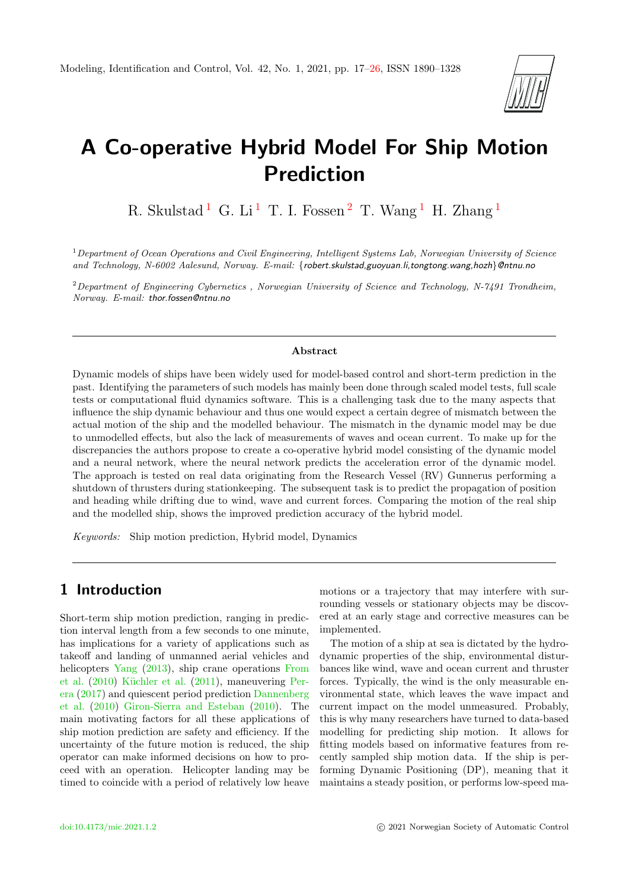

# A Co-operative Hybrid Model For Ship Motion Prediction

R. Skulstad<sup>[1](#page-0-0)</sup> G. Li<sup>1</sup> T. I. Fossen<sup>[2](#page-0-0)</sup> T. Wang<sup>1</sup> H. Zhang<sup>1</sup>

 $1$ Department of Ocean Operations and Civil Engineering, Intelligent Systems Lab, Norwegian University of Science and Technology, N-6002 Aalesund, Norway. E-mail: {robert.skulstad,guoyuan.li,tongtong.wang,hozh}@ntnu.no

 $2$ Department of Engineering Cybernetics, Norwegian University of Science and Technology, N-7491 Trondheim, Norway. E-mail: thor.fossen@ntnu.no

#### Abstract

Dynamic models of ships have been widely used for model-based control and short-term prediction in the past. Identifying the parameters of such models has mainly been done through scaled model tests, full scale tests or computational fluid dynamics software. This is a challenging task due to the many aspects that influence the ship dynamic behaviour and thus one would expect a certain degree of mismatch between the actual motion of the ship and the modelled behaviour. The mismatch in the dynamic model may be due to unmodelled effects, but also the lack of measurements of waves and ocean current. To make up for the discrepancies the authors propose to create a co-operative hybrid model consisting of the dynamic model and a neural network, where the neural network predicts the acceleration error of the dynamic model. The approach is tested on real data originating from the Research Vessel (RV) Gunnerus performing a shutdown of thrusters during stationkeeping. The subsequent task is to predict the propagation of position and heading while drifting due to wind, wave and current forces. Comparing the motion of the real ship and the modelled ship, shows the improved prediction accuracy of the hybrid model.

Keywords: Ship motion prediction, Hybrid model, Dynamics

# <span id="page-0-0"></span>1 Introduction

Short-term ship motion prediction, ranging in prediction interval length from a few seconds to one minute, has implications for a variety of applications such as takeoff and landing of unmanned aerial vehicles and helicopters [Yang](#page-9-1) [\(2013\)](#page-9-1), ship crane operations [From](#page-8-0) [et al.](#page-8-0) [\(2010\)](#page-8-0) Küchler et al. [\(2011\)](#page-8-1), maneuvering [Per](#page-8-2)[era](#page-8-2) [\(2017\)](#page-8-2) and quiescent period prediction [Dannenberg](#page-8-3) [et al.](#page-8-3) [\(2010\)](#page-8-3) [Giron-Sierra and Esteban](#page-8-4) [\(2010\)](#page-8-4). The main motivating factors for all these applications of ship motion prediction are safety and efficiency. If the uncertainty of the future motion is reduced, the ship operator can make informed decisions on how to proceed with an operation. Helicopter landing may be timed to coincide with a period of relatively low heave

motions or a trajectory that may interfere with surrounding vessels or stationary objects may be discovered at an early stage and corrective measures can be implemented.

The motion of a ship at sea is dictated by the hydrodynamic properties of the ship, environmental disturbances like wind, wave and ocean current and thruster forces. Typically, the wind is the only measurable environmental state, which leaves the wave impact and current impact on the model unmeasured. Probably, this is why many researchers have turned to data-based modelling for predicting ship motion. It allows for fitting models based on informative features from recently sampled ship motion data. If the ship is performing Dynamic Positioning (DP), meaning that it maintains a steady position, or performs low-speed ma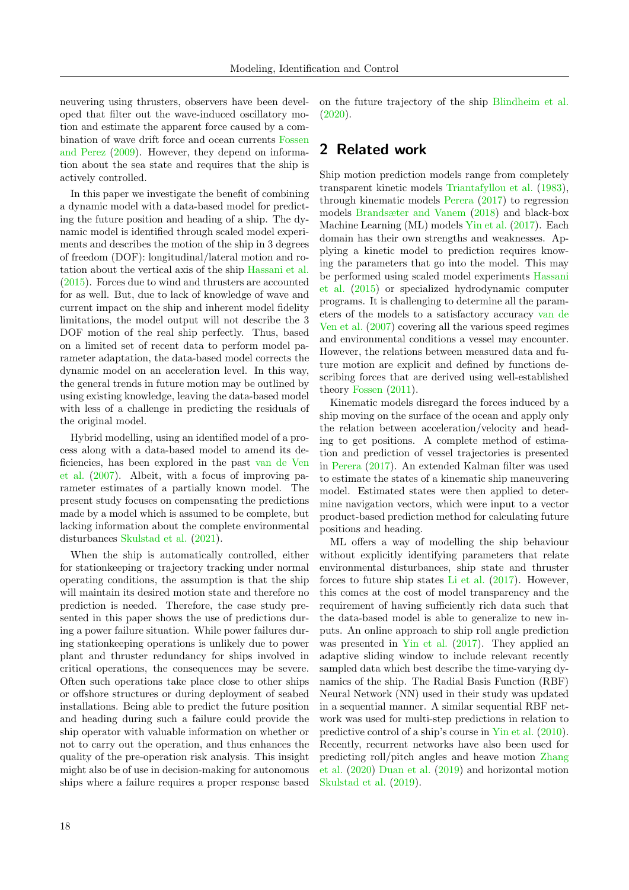neuvering using thrusters, observers have been developed that filter out the wave-induced oscillatory motion and estimate the apparent force caused by a combination of wave drift force and ocean currents [Fossen](#page-8-5) [and Perez](#page-8-5) [\(2009\)](#page-8-5). However, they depend on information about the sea state and requires that the ship is actively controlled.

In this paper we investigate the benefit of combining a dynamic model with a data-based model for predicting the future position and heading of a ship. The dynamic model is identified through scaled model experiments and describes the motion of the ship in 3 degrees of freedom (DOF): longitudinal/lateral motion and rotation about the vertical axis of the ship [Hassani et al.](#page-8-6) [\(2015\)](#page-8-6). Forces due to wind and thrusters are accounted for as well. But, due to lack of knowledge of wave and current impact on the ship and inherent model fidelity limitations, the model output will not describe the 3 DOF motion of the real ship perfectly. Thus, based on a limited set of recent data to perform model parameter adaptation, the data-based model corrects the dynamic model on an acceleration level. In this way, the general trends in future motion may be outlined by using existing knowledge, leaving the data-based model with less of a challenge in predicting the residuals of the original model.

Hybrid modelling, using an identified model of a process along with a data-based model to amend its deficiencies, has been explored in the past [van de Ven](#page-9-2) [et al.](#page-9-2) [\(2007\)](#page-9-2). Albeit, with a focus of improving parameter estimates of a partially known model. The present study focuses on compensating the predictions made by a model which is assumed to be complete, but lacking information about the complete environmental disturbances [Skulstad et al.](#page-8-7) [\(2021\)](#page-8-7).

When the ship is automatically controlled, either for stationkeeping or trajectory tracking under normal operating conditions, the assumption is that the ship will maintain its desired motion state and therefore no prediction is needed. Therefore, the case study presented in this paper shows the use of predictions during a power failure situation. While power failures during stationkeeping operations is unlikely due to power plant and thruster redundancy for ships involved in critical operations, the consequences may be severe. Often such operations take place close to other ships or offshore structures or during deployment of seabed installations. Being able to predict the future position and heading during such a failure could provide the ship operator with valuable information on whether or not to carry out the operation, and thus enhances the quality of the pre-operation risk analysis. This insight might also be of use in decision-making for autonomous ships where a failure requires a proper response based

on the future trajectory of the ship [Blindheim et al.](#page-7-0) [\(2020\)](#page-7-0).

### 2 Related work

Ship motion prediction models range from completely transparent kinetic models [Triantafyllou et al.](#page-9-3) [\(1983\)](#page-9-3), through kinematic models [Perera](#page-8-2) [\(2017\)](#page-8-2) to regression models [Brandsæter and Vanem](#page-8-8) [\(2018\)](#page-8-8) and black-box Machine Learning (ML) models [Yin et al.](#page-9-4) [\(2017\)](#page-9-4). Each domain has their own strengths and weaknesses. Applying a kinetic model to prediction requires knowing the parameters that go into the model. This may be performed using scaled model experiments [Hassani](#page-8-6) [et al.](#page-8-6) [\(2015\)](#page-8-6) or specialized hydrodynamic computer programs. It is challenging to determine all the parameters of the models to a satisfactory accuracy [van de](#page-9-2) [Ven et al.](#page-9-2) [\(2007\)](#page-9-2) covering all the various speed regimes and environmental conditions a vessel may encounter. However, the relations between measured data and future motion are explicit and defined by functions describing forces that are derived using well-established theory [Fossen](#page-8-9) [\(2011\)](#page-8-9).

Kinematic models disregard the forces induced by a ship moving on the surface of the ocean and apply only the relation between acceleration/velocity and heading to get positions. A complete method of estimation and prediction of vessel trajectories is presented in [Perera](#page-8-2) [\(2017\)](#page-8-2). An extended Kalman filter was used to estimate the states of a kinematic ship maneuvering model. Estimated states were then applied to determine navigation vectors, which were input to a vector product-based prediction method for calculating future positions and heading.

ML offers a way of modelling the ship behaviour without explicitly identifying parameters that relate environmental disturbances, ship state and thruster forces to future ship states [Li et al.](#page-8-10) [\(2017\)](#page-8-10). However, this comes at the cost of model transparency and the requirement of having sufficiently rich data such that the data-based model is able to generalize to new inputs. An online approach to ship roll angle prediction was presented in [Yin et al.](#page-9-4) [\(2017\)](#page-9-4). They applied an adaptive sliding window to include relevant recently sampled data which best describe the time-varying dynamics of the ship. The Radial Basis Function (RBF) Neural Network (NN) used in their study was updated in a sequential manner. A similar sequential RBF network was used for multi-step predictions in relation to predictive control of a ship's course in [Yin et al.](#page-9-5) [\(2010\)](#page-9-5). Recently, recurrent networks have also been used for predicting roll/pitch angles and heave motion [Zhang](#page-9-6) [et al.](#page-9-6) [\(2020\)](#page-9-6) [Duan et al.](#page-8-11) [\(2019\)](#page-8-11) and horizontal motion [Skulstad et al.](#page-8-12) [\(2019\)](#page-8-12).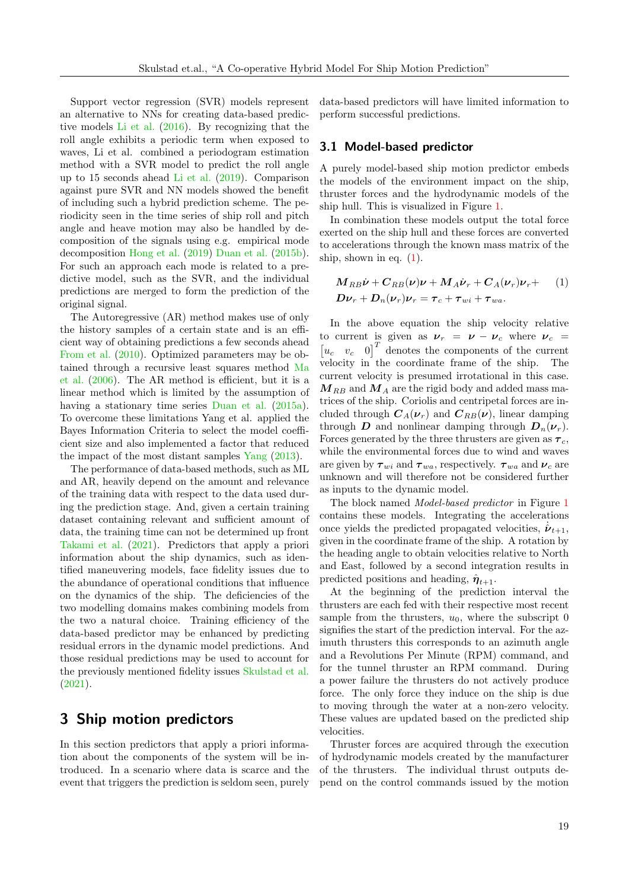Support vector regression (SVR) models represent an alternative to NNs for creating data-based predictive models [Li et al.](#page-8-13) [\(2016\)](#page-8-13). By recognizing that the roll angle exhibits a periodic term when exposed to waves, Li et al. combined a periodogram estimation method with a SVR model to predict the roll angle up to 15 seconds ahead [Li et al.](#page-8-14) [\(2019\)](#page-8-14). Comparison against pure SVR and NN models showed the benefit of including such a hybrid prediction scheme. The periodicity seen in the time series of ship roll and pitch angle and heave motion may also be handled by decomposition of the signals using e.g. empirical mode decomposition [Hong et al.](#page-8-15) [\(2019\)](#page-8-15) [Duan et al.](#page-8-16) [\(2015b\)](#page-8-16). For such an approach each mode is related to a predictive model, such as the SVR, and the individual predictions are merged to form the prediction of the original signal.

The Autoregressive (AR) method makes use of only the history samples of a certain state and is an efficient way of obtaining predictions a few seconds ahead [From et al.](#page-8-0) [\(2010\)](#page-8-0). Optimized parameters may be obtained through a recursive least squares method [Ma](#page-8-17) [et al.](#page-8-17) [\(2006\)](#page-8-17). The AR method is efficient, but it is a linear method which is limited by the assumption of having a stationary time series [Duan et al.](#page-8-18) [\(2015a\)](#page-8-18). To overcome these limitations Yang et al. applied the Bayes Information Criteria to select the model coefficient size and also implemented a factor that reduced the impact of the most distant samples [Yang](#page-9-1) [\(2013\)](#page-9-1).

The performance of data-based methods, such as ML and AR, heavily depend on the amount and relevance of the training data with respect to the data used during the prediction stage. And, given a certain training dataset containing relevant and sufficient amount of data, the training time can not be determined up front [Takami et al.](#page-9-7) [\(2021\)](#page-9-7). Predictors that apply a priori information about the ship dynamics, such as identified maneuvering models, face fidelity issues due to the abundance of operational conditions that influence on the dynamics of the ship. The deficiencies of the two modelling domains makes combining models from the two a natural choice. Training efficiency of the data-based predictor may be enhanced by predicting residual errors in the dynamic model predictions. And those residual predictions may be used to account for the previously mentioned fidelity issues [Skulstad et al.](#page-8-7) [\(2021\)](#page-8-7).

## 3 Ship motion predictors

In this section predictors that apply a priori information about the components of the system will be introduced. In a scenario where data is scarce and the event that triggers the prediction is seldom seen, purely

data-based predictors will have limited information to perform successful predictions.

#### <span id="page-2-1"></span>3.1 Model-based predictor

A purely model-based ship motion predictor embeds the models of the environment impact on the ship, thruster forces and the hydrodynamic models of the ship hull. This is visualized in Figure [1.](#page-3-0)

In combination these models output the total force exerted on the ship hull and these forces are converted to accelerations through the known mass matrix of the ship, shown in eq.  $(1)$ .

<span id="page-2-0"></span>
$$
M_{RB}\dot{\boldsymbol{\nu}} + \boldsymbol{C}_{RB}(\boldsymbol{\nu})\boldsymbol{\nu} + \boldsymbol{M}_A\dot{\boldsymbol{\nu}}_r + \boldsymbol{C}_A(\boldsymbol{\nu}_r)\boldsymbol{\nu}_r + (1) \boldsymbol{D}\boldsymbol{\nu}_r + \boldsymbol{D}_n(\boldsymbol{\nu}_r)\boldsymbol{\nu}_r = \boldsymbol{\tau}_c + \boldsymbol{\tau}_{wi} + \boldsymbol{\tau}_{wa}.
$$

In the above equation the ship velocity relative to current is given as  $v_r = v - v_c$  where  $v_c =$  $\begin{bmatrix} u_c & v_c & 0 \end{bmatrix}^T$  denotes the components of the current velocity in the coordinate frame of the ship. The current velocity is presumed irrotational in this case.  $M_{BR}$  and  $M_A$  are the rigid body and added mass matrices of the ship. Coriolis and centripetal forces are included through  $C_A(\nu_r)$  and  $C_{RB}(\nu)$ , linear damping through D and nonlinear damping through  $D_n(\nu_r)$ . Forces generated by the three thrusters are given as  $\tau_c$ , while the environmental forces due to wind and waves are given by  $\tau_{wi}$  and  $\tau_{wa}$ , respectively.  $\tau_{wa}$  and  $\nu_c$  are unknown and will therefore not be considered further as inputs to the dynamic model.

The block named Model-based predictor in Figure [1](#page-3-0) contains these models. Integrating the accelerations once yields the predicted propagated velocities,  $\hat{\boldsymbol{\nu}}_{t+1}$ , given in the coordinate frame of the ship. A rotation by the heading angle to obtain velocities relative to North and East, followed by a second integration results in predicted positions and heading,  $\hat{\eta}_{t+1}$ .

At the beginning of the prediction interval the thrusters are each fed with their respective most recent sample from the thrusters,  $u_0$ , where the subscript 0 signifies the start of the prediction interval. For the azimuth thrusters this corresponds to an azimuth angle and a Revolutions Per Minute (RPM) command, and for the tunnel thruster an RPM command. During a power failure the thrusters do not actively produce force. The only force they induce on the ship is due to moving through the water at a non-zero velocity. These values are updated based on the predicted ship velocities.

Thruster forces are acquired through the execution of hydrodynamic models created by the manufacturer of the thrusters. The individual thrust outputs depend on the control commands issued by the motion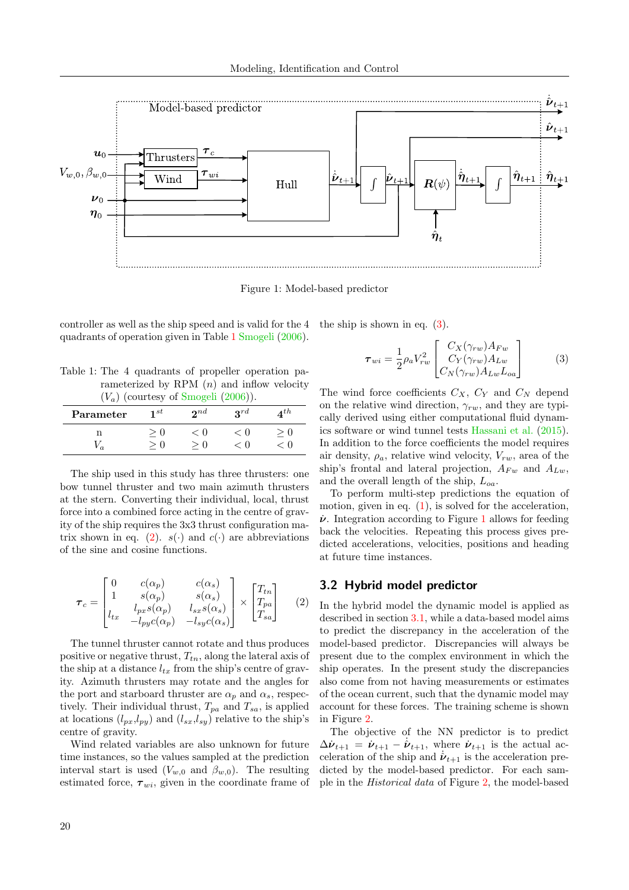

<span id="page-3-0"></span>Figure 1: Model-based predictor

controller as well as the ship speed and is valid for the  $4$  the ship is shown in eq. [\(3\)](#page-3-3). quadrants of operation given in Table [1](#page-3-1) [Smogeli](#page-8-19) [\(2006\)](#page-8-19).

<span id="page-3-1"></span>Table 1: The 4 quadrants of propeller operation parameterized by RPM  $(n)$  and inflow velocity  $(V<sub>a</sub>)$  (courtesy of [Smogeli](#page-8-19) [\(2006\)](#page-8-19)).

| (20.4)         |     |          |                     |              |  |  |  |
|----------------|-----|----------|---------------------|--------------|--|--|--|
| Parameter      | 1st | $2^{nd}$ | $3^{rd}$            | $t\hbar$     |  |  |  |
| n              |     | - 11     | - 11<br>$^{\prime}$ | $\mathbf{L}$ |  |  |  |
| $\overline{a}$ |     |          |                     |              |  |  |  |

The ship used in this study has three thrusters: one bow tunnel thruster and two main azimuth thrusters at the stern. Converting their individual, local, thrust force into a combined force acting in the centre of gravity of the ship requires the 3x3 thrust configuration ma-trix shown in eq. [\(2\)](#page-3-2).  $s(\cdot)$  and  $c(\cdot)$  are abbreviations of the sine and cosine functions.

$$
\boldsymbol{\tau}_{c} = \begin{bmatrix} 0 & c(\alpha_{p}) & c(\alpha_{s}) \\ 1 & s(\alpha_{p}) & s(\alpha_{s}) \\ l_{tx} & l_{px}s(\alpha_{p}) & l_{sx}s(\alpha_{s}) \\ -l_{py}c(\alpha_{p}) & -l_{sy}c(\alpha_{s}) \end{bmatrix} \times \begin{bmatrix} T_{tn} \\ T_{pa} \\ T_{sa} \end{bmatrix}
$$
 (2)

The tunnel thruster cannot rotate and thus produces positive or negative thrust,  $T_{tn}$ , along the lateral axis of the ship at a distance  $l_{tx}$  from the ship's centre of gravity. Azimuth thrusters may rotate and the angles for the port and starboard thruster are  $\alpha_p$  and  $\alpha_s$ , respectively. Their individual thrust,  $T_{pa}$  and  $T_{sa}$ , is applied at locations  $(l_{px},l_{py})$  and  $(l_{sx},l_{sy})$  relative to the ship's centre of gravity.

Wind related variables are also unknown for future time instances, so the values sampled at the prediction interval start is used  $(V_{w,0}$  and  $\beta_{w,0})$ . The resulting estimated force,  $\tau_{wi}$ , given in the coordinate frame of

<span id="page-3-3"></span>
$$
\tau_{wi} = \frac{1}{2} \rho_a V_{rw}^2 \begin{bmatrix} C_X(\gamma_{rw}) A_{Fw} \\ C_Y(\gamma_{rw}) A_{Lw} \\ C_N(\gamma_{rw}) A_{Lw} L_{oa} \end{bmatrix}
$$
 (3)

The wind force coefficients  $C_X$ ,  $C_Y$  and  $C_N$  depend on the relative wind direction,  $\gamma_{rw}$ , and they are typically derived using either computational fluid dynamics software or wind tunnel tests [Hassani et al.](#page-8-6) [\(2015\)](#page-8-6). In addition to the force coefficients the model requires air density,  $\rho_a$ , relative wind velocity,  $V_{rw}$ , area of the ship's frontal and lateral projection,  $A_{F_w}$  and  $A_{L_w}$ , and the overall length of the ship,  $L_{oa}$ .

To perform multi-step predictions the equation of motion, given in eq. [\(1\)](#page-2-0), is solved for the acceleration,  $\dot{\nu}$ . Integration according to Figure [1](#page-3-0) allows for feeding back the velocities. Repeating this process gives predicted accelerations, velocities, positions and heading at future time instances.

#### 3.2 Hybrid model predictor

<span id="page-3-2"></span>In the hybrid model the dynamic model is applied as described in section [3.1,](#page-2-1) while a data-based model aims to predict the discrepancy in the acceleration of the model-based predictor. Discrepancies will always be present due to the complex environment in which the ship operates. In the present study the discrepancies also come from not having measurements or estimates of the ocean current, such that the dynamic model may account for these forces. The training scheme is shown in Figure [2.](#page-5-0)

The objective of the NN predictor is to predict  $\Delta \dot{\nu}_{t+1} = \dot{\nu}_{t+1} - \dot{\nu}_{t+1}$ , where  $\dot{\nu}_{t+1}$  is the actual acceleration of the ship and  $\hat{\nu}_{t+1}$  is the acceleration predicted by the model-based predictor. For each sample in the Historical data of Figure [2,](#page-5-0) the model-based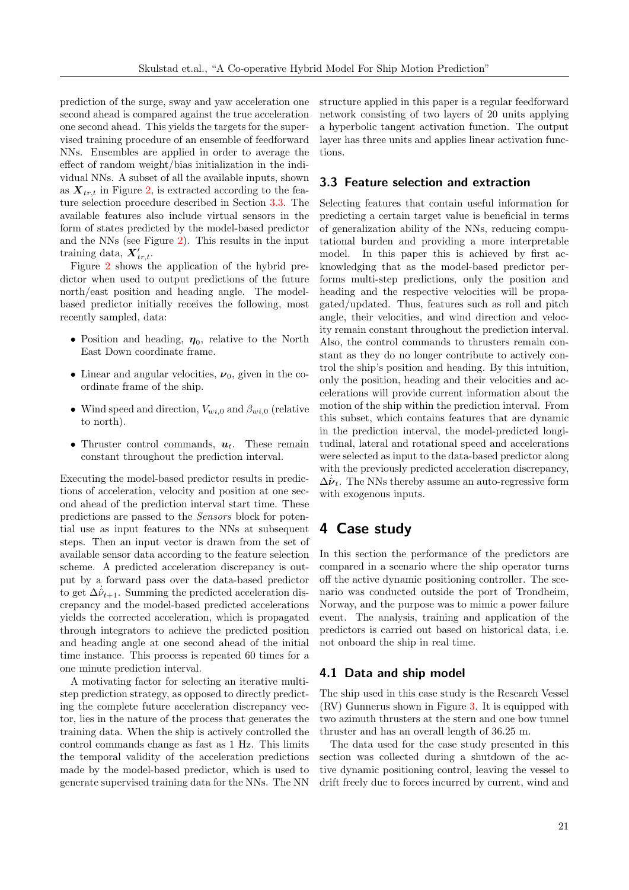prediction of the surge, sway and yaw acceleration one second ahead is compared against the true acceleration one second ahead. This yields the targets for the supervised training procedure of an ensemble of feedforward NNs. Ensembles are applied in order to average the effect of random weight/bias initialization in the individual NNs. A subset of all the available inputs, shown as  $X_{tr,t}$  in Figure [2,](#page-5-0) is extracted according to the feature selection procedure described in Section [3.3.](#page-4-0) The available features also include virtual sensors in the form of states predicted by the model-based predictor and the NNs (see Figure [2\)](#page-5-0). This results in the input training data,  $\mathbf{X}'_{tr,t}$ .

Figure [2](#page-5-0) shows the application of the hybrid predictor when used to output predictions of the future north/east position and heading angle. The modelbased predictor initially receives the following, most recently sampled, data:

- Position and heading,  $\eta_0$ , relative to the North East Down coordinate frame.
- Linear and angular velocities,  $\nu_0$ , given in the coordinate frame of the ship.
- Wind speed and direction,  $V_{wi,0}$  and  $\beta_{wi,0}$  (relative to north).
- Thruster control commands,  $u_t$ . These remain constant throughout the prediction interval.

Executing the model-based predictor results in predictions of acceleration, velocity and position at one second ahead of the prediction interval start time. These predictions are passed to the Sensors block for potential use as input features to the NNs at subsequent steps. Then an input vector is drawn from the set of available sensor data according to the feature selection scheme. A predicted acceleration discrepancy is output by a forward pass over the data-based predictor to get  $\Delta \hat{\nu}_{t+1}$ . Summing the predicted acceleration discrepancy and the model-based predicted accelerations yields the corrected acceleration, which is propagated through integrators to achieve the predicted position and heading angle at one second ahead of the initial time instance. This process is repeated 60 times for a one minute prediction interval.

A motivating factor for selecting an iterative multistep prediction strategy, as opposed to directly predicting the complete future acceleration discrepancy vector, lies in the nature of the process that generates the training data. When the ship is actively controlled the control commands change as fast as 1 Hz. This limits the temporal validity of the acceleration predictions made by the model-based predictor, which is used to generate supervised training data for the NNs. The NN

structure applied in this paper is a regular feedforward network consisting of two layers of 20 units applying a hyperbolic tangent activation function. The output layer has three units and applies linear activation functions.

#### <span id="page-4-0"></span>3.3 Feature selection and extraction

Selecting features that contain useful information for predicting a certain target value is beneficial in terms of generalization ability of the NNs, reducing computational burden and providing a more interpretable model. In this paper this is achieved by first acknowledging that as the model-based predictor performs multi-step predictions, only the position and heading and the respective velocities will be propagated/updated. Thus, features such as roll and pitch angle, their velocities, and wind direction and velocity remain constant throughout the prediction interval. Also, the control commands to thrusters remain constant as they do no longer contribute to actively control the ship's position and heading. By this intuition, only the position, heading and their velocities and accelerations will provide current information about the motion of the ship within the prediction interval. From this subset, which contains features that are dynamic in the prediction interval, the model-predicted longitudinal, lateral and rotational speed and accelerations were selected as input to the data-based predictor along with the previously predicted acceleration discrepancy,  $\Delta \dot{\nu}_t$ . The NNs thereby assume an auto-regressive form with exogenous inputs.

# 4 Case study

In this section the performance of the predictors are compared in a scenario where the ship operator turns off the active dynamic positioning controller. The scenario was conducted outside the port of Trondheim, Norway, and the purpose was to mimic a power failure event. The analysis, training and application of the predictors is carried out based on historical data, i.e. not onboard the ship in real time.

#### 4.1 Data and ship model

The ship used in this case study is the Research Vessel (RV) Gunnerus shown in Figure [3.](#page-5-1) It is equipped with two azimuth thrusters at the stern and one bow tunnel thruster and has an overall length of 36.25 m.

The data used for the case study presented in this section was collected during a shutdown of the active dynamic positioning control, leaving the vessel to drift freely due to forces incurred by current, wind and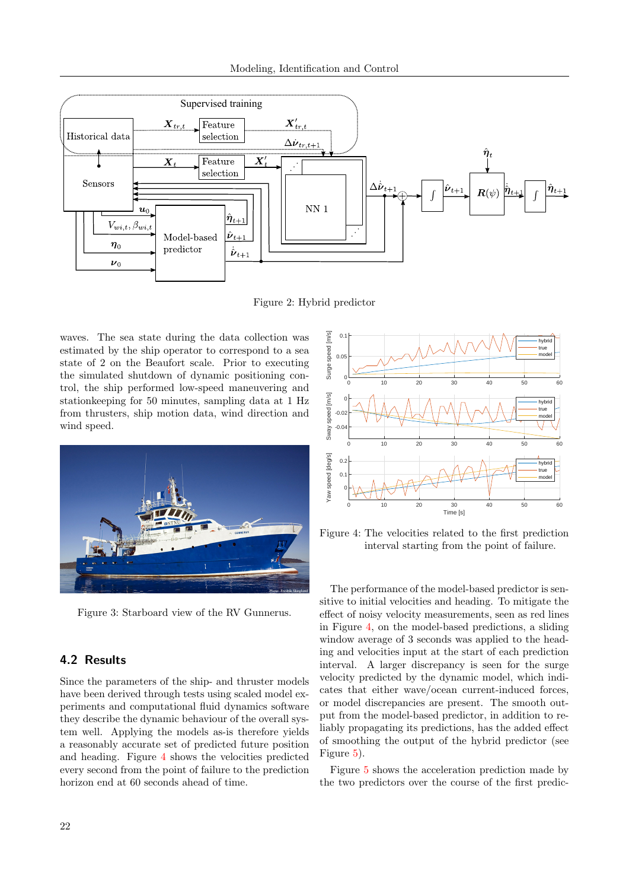

Figure 2: Hybrid predictor

waves. The sea state during the data collection was estimated by the ship operator to correspond to a sea state of 2 on the Beaufort scale. Prior to executing the simulated shutdown of dynamic positioning control, the ship performed low-speed maneuvering and stationkeeping for 50 minutes, sampling data at 1 Hz from thrusters, ship motion data, wind direction and wind speed.



Figure 3: Starboard view of the RV Gunnerus.

#### <span id="page-5-1"></span>4.2 Results

Since the parameters of the ship- and thruster models have been derived through tests using scaled model experiments and computational fluid dynamics software they describe the dynamic behaviour of the overall system well. Applying the models as-is therefore yields a reasonably accurate set of predicted future position and heading. Figure [4](#page-5-2) shows the velocities predicted every second from the point of failure to the prediction horizon end at 60 seconds ahead of time.

<span id="page-5-0"></span>

<span id="page-5-2"></span>Figure 4: The velocities related to the first prediction interval starting from the point of failure.

The performance of the model-based predictor is sensitive to initial velocities and heading. To mitigate the effect of noisy velocity measurements, seen as red lines in Figure [4,](#page-5-2) on the model-based predictions, a sliding window average of 3 seconds was applied to the heading and velocities input at the start of each prediction interval. A larger discrepancy is seen for the surge velocity predicted by the dynamic model, which indicates that either wave/ocean current-induced forces, or model discrepancies are present. The smooth output from the model-based predictor, in addition to reliably propagating its predictions, has the added effect of smoothing the output of the hybrid predictor (see Figure [5\)](#page-6-0).

Figure [5](#page-6-0) shows the acceleration prediction made by the two predictors over the course of the first predic-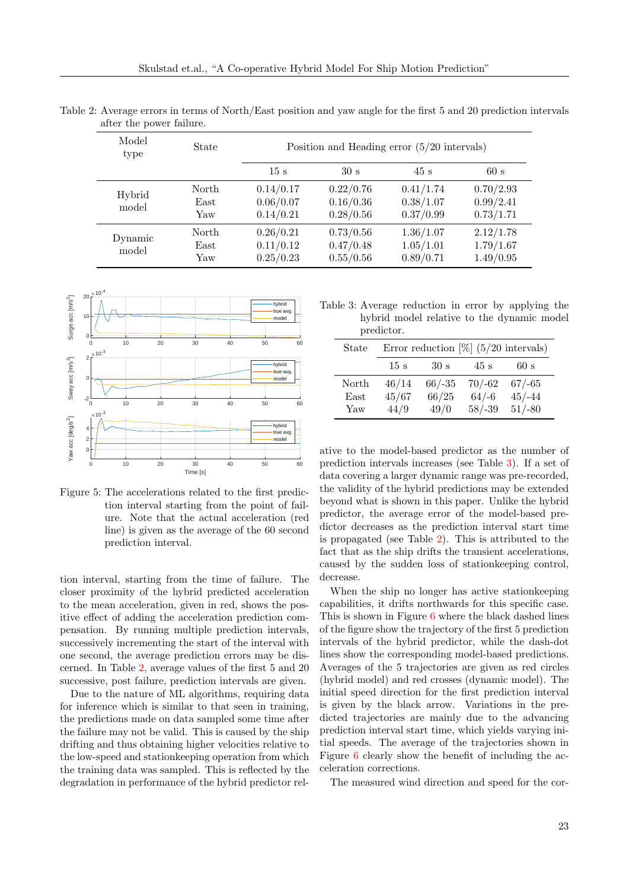<span id="page-6-1"></span>

| Model<br>type    | State                         | Position and Heading error $(5/20 \text{ intervals})$ |                                     |                                     |                                     |
|------------------|-------------------------------|-------------------------------------------------------|-------------------------------------|-------------------------------------|-------------------------------------|
|                  |                               | 15 s                                                  | 30 <sub>s</sub>                     | 45 s                                | 60 s                                |
| Hybrid<br>model  | North<br>$\text{East}$<br>Yaw | 0.14/0.17<br>0.06/0.07<br>0.14/0.21                   | 0.22/0.76<br>0.16/0.36<br>0.28/0.56 | 0.41/1.74<br>0.38/1.07<br>0.37/0.99 | 0.70/2.93<br>0.99/2.41<br>0.73/1.71 |
| Dynamic<br>model | North<br>$\text{East}$<br>Yaw | 0.26/0.21<br>0.11/0.12<br>0.25/0.23                   | 0.73/0.56<br>0.47/0.48<br>0.55/0.56 | 1.36/1.07<br>1.05/1.01<br>0.89/0.71 | 2.12/1.78<br>1.79/1.67<br>1.49/0.95 |

Table 2: Average errors in terms of North/East position and yaw angle for the first 5 and 20 prediction intervals after the power failure.



<span id="page-6-0"></span>Figure 5: The accelerations related to the first prediction interval starting from the point of failure. Note that the actual acceleration (red line) is given as the average of the 60 second prediction interval.

tion interval, starting from the time of failure. The closer proximity of the hybrid predicted acceleration to the mean acceleration, given in red, shows the positive effect of adding the acceleration prediction compensation. By running multiple prediction intervals, successively incrementing the start of the interval with one second, the average prediction errors may be discerned. In Table [2,](#page-6-1) average values of the first 5 and 20 successive, post failure, prediction intervals are given.

Due to the nature of ML algorithms, requiring data for inference which is similar to that seen in training, the predictions made on data sampled some time after the failure may not be valid. This is caused by the ship drifting and thus obtaining higher velocities relative to the low-speed and stationkeeping operation from which the training data was sampled. This is reflected by the degradation in performance of the hybrid predictor rel-

<span id="page-6-2"></span>Table 3: Average reduction in error by applying the hybrid model relative to the dynamic model predictor.

| State | Error reduction $[\%]$ (5/20 intervals) |                 |          |          |  |  |
|-------|-----------------------------------------|-----------------|----------|----------|--|--|
|       | 15 s                                    | 30 <sub>s</sub> | 45 s     | 60 s     |  |  |
| North | 46/14                                   | $66/-35$        | $70/-62$ | $67/-65$ |  |  |
| East  | 45/67                                   | 66/25           | $64/-6$  | $45/-44$ |  |  |
| Yaw   | 44/9                                    | 49/0            | $58/-39$ | $51/-80$ |  |  |

ative to the model-based predictor as the number of prediction intervals increases (see Table [3\)](#page-6-2). If a set of data covering a larger dynamic range was pre-recorded, the validity of the hybrid predictions may be extended beyond what is shown in this paper. Unlike the hybrid predictor, the average error of the model-based predictor decreases as the prediction interval start time is propagated (see Table [2\)](#page-6-1). This is attributed to the fact that as the ship drifts the transient accelerations, caused by the sudden loss of stationkeeping control, decrease.

When the ship no longer has active stationkeeping capabilities, it drifts northwards for this specific case. This is shown in Figure [6](#page-7-1) where the black dashed lines of the figure show the trajectory of the first 5 prediction intervals of the hybrid predictor, while the dash-dot lines show the corresponding model-based predictions. Averages of the 5 trajectories are given as red circles (hybrid model) and red crosses (dynamic model). The initial speed direction for the first prediction interval is given by the black arrow. Variations in the predicted trajectories are mainly due to the advancing prediction interval start time, which yields varying initial speeds. The average of the trajectories shown in Figure [6](#page-7-1) clearly show the benefit of including the acceleration corrections.

The measured wind direction and speed for the cor-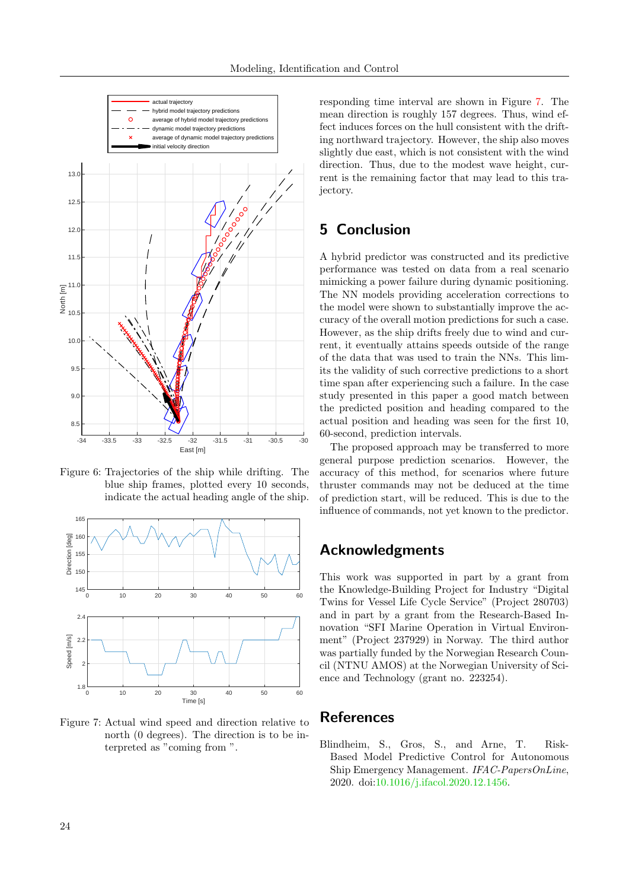

<span id="page-7-1"></span>Figure 6: Trajectories of the ship while drifting. The blue ship frames, plotted every 10 seconds, indicate the actual heading angle of the ship.



<span id="page-7-2"></span>Figure 7: Actual wind speed and direction relative to north (0 degrees). The direction is to be interpreted as "coming from ".

responding time interval are shown in Figure [7.](#page-7-2) The mean direction is roughly 157 degrees. Thus, wind effect induces forces on the hull consistent with the drifting northward trajectory. However, the ship also moves slightly due east, which is not consistent with the wind direction. Thus, due to the modest wave height, current is the remaining factor that may lead to this trajectory.

# 5 Conclusion

A hybrid predictor was constructed and its predictive performance was tested on data from a real scenario mimicking a power failure during dynamic positioning. The NN models providing acceleration corrections to the model were shown to substantially improve the accuracy of the overall motion predictions for such a case. However, as the ship drifts freely due to wind and current, it eventually attains speeds outside of the range of the data that was used to train the NNs. This limits the validity of such corrective predictions to a short time span after experiencing such a failure. In the case study presented in this paper a good match between the predicted position and heading compared to the actual position and heading was seen for the first 10, 60-second, prediction intervals.

The proposed approach may be transferred to more general purpose prediction scenarios. However, the accuracy of this method, for scenarios where future thruster commands may not be deduced at the time of prediction start, will be reduced. This is due to the influence of commands, not yet known to the predictor.

## Acknowledgments

This work was supported in part by a grant from the Knowledge-Building Project for Industry "Digital Twins for Vessel Life Cycle Service" (Project 280703) and in part by a grant from the Research-Based Innovation "SFI Marine Operation in Virtual Environment" (Project 237929) in Norway. The third author was partially funded by the Norwegian Research Council (NTNU AMOS) at the Norwegian University of Science and Technology (grant no. 223254).

## References

<span id="page-7-0"></span>Blindheim, S., Gros, S., and Arne, T. Risk-Based Model Predictive Control for Autonomous Ship Emergency Management. IFAC-PapersOnLine, 2020. doi[:10.1016/j.ifacol.2020.12.1456.](http://dx.doi.org/10.1016/j.ifacol.2020.12.1456)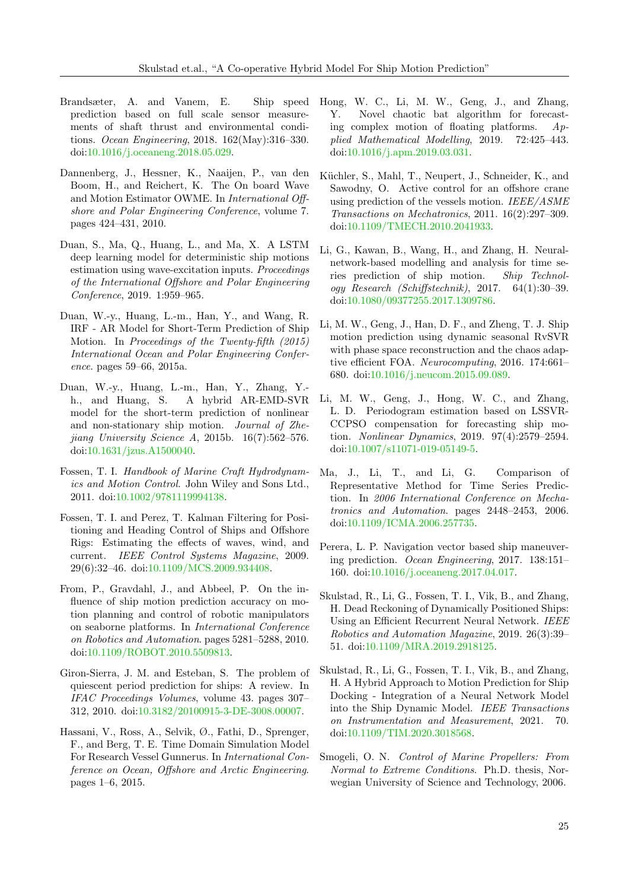- <span id="page-8-8"></span>Brandsæter, A. and Vanem, E. Ship speed prediction based on full scale sensor measurements of shaft thrust and environmental conditions. Ocean Engineering, 2018. 162(May):316–330. doi[:10.1016/j.oceaneng.2018.05.029.](http://dx.doi.org/10.1016/j.oceaneng.2018.05.029)
- <span id="page-8-3"></span>Dannenberg, J., Hessner, K., Naaijen, P., van den Boom, H., and Reichert, K. The On board Wave and Motion Estimator OWME. In International Offshore and Polar Engineering Conference, volume 7. pages 424–431, 2010.
- <span id="page-8-11"></span>Duan, S., Ma, Q., Huang, L., and Ma, X. A LSTM deep learning model for deterministic ship motions estimation using wave-excitation inputs. Proceedings of the International Offshore and Polar Engineering Conference, 2019. 1:959–965.
- <span id="page-8-18"></span>Duan, W.-y., Huang, L.-m., Han, Y., and Wang, R. IRF - AR Model for Short-Term Prediction of Ship Motion. In Proceedings of the Twenty-fifth (2015) International Ocean and Polar Engineering Conference. pages 59–66, 2015a.
- <span id="page-8-16"></span>Duan, W.-y., Huang, L.-m., Han, Y., Zhang, Y. h., and Huang, S. A hybrid AR-EMD-SVR model for the short-term prediction of nonlinear and non-stationary ship motion. Journal of Zhejiang University Science A, 2015b. 16(7):562–576. doi[:10.1631/jzus.A1500040.](http://dx.doi.org/10.1631/jzus.A1500040)
- <span id="page-8-9"></span>Fossen, T. I. Handbook of Marine Craft Hydrodynamics and Motion Control. John Wiley and Sons Ltd., 2011. doi[:10.1002/9781119994138.](http://dx.doi.org/10.1002/9781119994138)
- <span id="page-8-5"></span>Fossen, T. I. and Perez, T. Kalman Filtering for Positioning and Heading Control of Ships and Offshore Rigs: Estimating the effects of waves, wind, and current. *IEEE Control Systems Magazine*, 2009. 29(6):32–46. doi[:10.1109/MCS.2009.934408.](http://dx.doi.org/10.1109/MCS.2009.934408)
- <span id="page-8-0"></span>From, P., Gravdahl, J., and Abbeel, P. On the influence of ship motion prediction accuracy on motion planning and control of robotic manipulators on seaborne platforms. In International Conference on Robotics and Automation. pages 5281–5288, 2010. doi[:10.1109/ROBOT.2010.5509813.](http://dx.doi.org/10.1109/ROBOT.2010.5509813)
- <span id="page-8-4"></span>Giron-Sierra, J. M. and Esteban, S. The problem of quiescent period prediction for ships: A review. In IFAC Proceedings Volumes, volume 43. pages 307– 312, 2010. doi[:10.3182/20100915-3-DE-3008.00007.](http://dx.doi.org/10.3182/20100915-3-DE-3008.00007)
- <span id="page-8-6"></span>Hassani, V., Ross, A., Selvik, Ø., Fathi, D., Sprenger, F., and Berg, T. E. Time Domain Simulation Model For Research Vessel Gunnerus. In International Conference on Ocean, Offshore and Arctic Engineering. pages 1–6, 2015.
- <span id="page-8-15"></span>Hong, W. C., Li, M. W., Geng, J., and Zhang, Y. Novel chaotic bat algorithm for forecasting complex motion of floating platforms.  $Ap$ plied Mathematical Modelling, 2019. 72:425–443. doi[:10.1016/j.apm.2019.03.031.](http://dx.doi.org/10.1016/j.apm.2019.03.031)
- <span id="page-8-1"></span>Küchler, S., Mahl, T., Neupert, J., Schneider, K., and Sawodny, O. Active control for an offshore crane using prediction of the vessels motion. IEEE/ASME Transactions on Mechatronics, 2011. 16(2):297–309. doi[:10.1109/TMECH.2010.2041933.](http://dx.doi.org/10.1109/TMECH.2010.2041933)
- <span id="page-8-10"></span>Li, G., Kawan, B., Wang, H., and Zhang, H. Neuralnetwork-based modelling and analysis for time series prediction of ship motion. Ship Technology Research (Schiffstechnik), 2017. 64(1):30–39. doi[:10.1080/09377255.2017.1309786.](http://dx.doi.org/10.1080/09377255.2017.1309786)
- <span id="page-8-13"></span>Li, M. W., Geng, J., Han, D. F., and Zheng, T. J. Ship motion prediction using dynamic seasonal RvSVR with phase space reconstruction and the chaos adaptive efficient FOA. Neurocomputing, 2016. 174:661– 680. doi[:10.1016/j.neucom.2015.09.089.](http://dx.doi.org/10.1016/j.neucom.2015.09.089)
- <span id="page-8-14"></span>Li, M. W., Geng, J., Hong, W. C., and Zhang, L. D. Periodogram estimation based on LSSVR-CCPSO compensation for forecasting ship motion. Nonlinear Dynamics, 2019. 97(4):2579–2594. doi[:10.1007/s11071-019-05149-5.](http://dx.doi.org/10.1007/s11071-019-05149-5)
- <span id="page-8-17"></span>Ma, J., Li, T., and Li, G. Comparison of Representative Method for Time Series Prediction. In 2006 International Conference on Mechatronics and Automation. pages 2448–2453, 2006. doi[:10.1109/ICMA.2006.257735.](http://dx.doi.org/10.1109/ICMA.2006.257735)
- <span id="page-8-2"></span>Perera, L. P. Navigation vector based ship maneuvering prediction. Ocean Engineering, 2017. 138:151– 160. doi[:10.1016/j.oceaneng.2017.04.017.](http://dx.doi.org/10.1016/j.oceaneng.2017.04.017)
- <span id="page-8-12"></span>Skulstad, R., Li, G., Fossen, T. I., Vik, B., and Zhang, H. Dead Reckoning of Dynamically Positioned Ships: Using an Efficient Recurrent Neural Network. IEEE Robotics and Automation Magazine, 2019. 26(3):39– 51. doi[:10.1109/MRA.2019.2918125.](http://dx.doi.org/10.1109/MRA.2019.2918125)
- <span id="page-8-7"></span>Skulstad, R., Li, G., Fossen, T. I., Vik, B., and Zhang, H. A Hybrid Approach to Motion Prediction for Ship Docking - Integration of a Neural Network Model into the Ship Dynamic Model. IEEE Transactions on Instrumentation and Measurement, 2021. 70. doi[:10.1109/TIM.2020.3018568.](http://dx.doi.org/10.1109/TIM.2020.3018568)
- <span id="page-8-19"></span>Smogeli, O. N. Control of Marine Propellers: From Normal to Extreme Conditions. Ph.D. thesis, Norwegian University of Science and Technology, 2006.